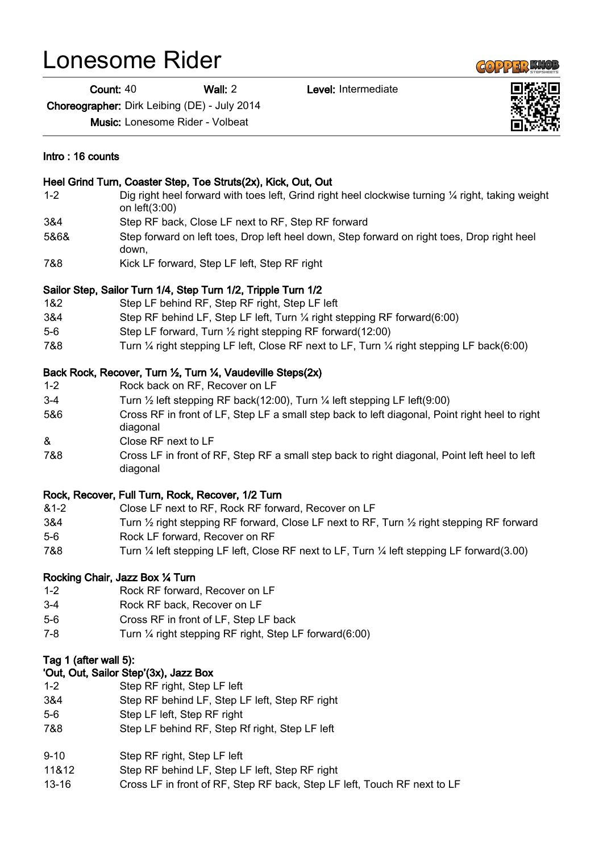## Lonesome Rider

Count: 40 Wall: 2 Level: Intermediate

Choreographer: Dirk Leibing (DE) - July 2014

Music: Lonesome Rider - Volbeat

## Intro : 16 counts

## Heel Grind Turn, Coaster Step, Toe Struts(2x), Kick, Out, Out 1-2 Dig right heel forward with toes left, Grind right heel clockwise turning ¼ right, taking weight on left(3:00) 3&4 Step RF back, Close LF next to RF, Step RF forward 5&6& Step forward on left toes, Drop left heel down, Step forward on right toes, Drop right heel down, 7&8 Kick LF forward, Step LF left, Step RF right Sailor Step, Sailor Turn 1/4, Step Turn 1/2, Tripple Turn 1/2 1&2 Step LF behind RF, Step RF right, Step LF left 3&4 Step RF behind LF, Step LF left, Turn ¼ right stepping RF forward(6:00) 5-6 Step LF forward, Turn ½ right stepping RF forward(12:00) 7&8 Turn ¼ right stepping LF left, Close RF next to LF, Turn ¼ right stepping LF back(6:00) Back Rock, Recover, Turn ½, Turn ¼, Vaudeville Steps(2x) 1-2 Rock back on RF, Recover on LF 3-4 Turn ½ left stepping RF back(12:00), Turn ¼ left stepping LF left(9:00) 5&6 Cross RF in front of LF, Step LF a small step back to left diagonal, Point right heel to right diagonal & Close RF next to LF 7&8 Cross LF in front of RF, Step RF a small step back to right diagonal, Point left heel to left diagonal Rock, Recover, Full Turn, Rock, Recover, 1/2 Turn &1-2 Close LF next to RF, Rock RF forward, Recover on LF 3&4 Turn ½ right stepping RF forward, Close LF next to RF, Turn ½ right stepping RF forward 5-6 Rock LF forward, Recover on RF 7&8 Turn ¼ left stepping LF left, Close RF next to LF, Turn ¼ left stepping LF forward(3.00) Rocking Chair, Jazz Box ¼ Turn 1-2 Rock RF forward, Recover on LF 3-4 Rock RF back, Recover on LF 5-6 Cross RF in front of LF, Step LF back 7-8 Turn ¼ right stepping RF right, Step LF forward(6:00) Tag 1 (after wall 5): 'Out, Out, Sailor Step'(3x), Jazz Box 1-2 Step RF right, Step LF left 3&4 Step RF behind LF, Step LF left, Step RF right 5-6 Step LF left, Step RF right 7&8 Step LF behind RF, Step Rf right, Step LF left

- 9-10 Step RF right, Step LF left
- 11&12 Step RF behind LF, Step LF left, Step RF right
- 13-16 Cross LF in front of RF, Step RF back, Step LF left, Touch RF next to LF